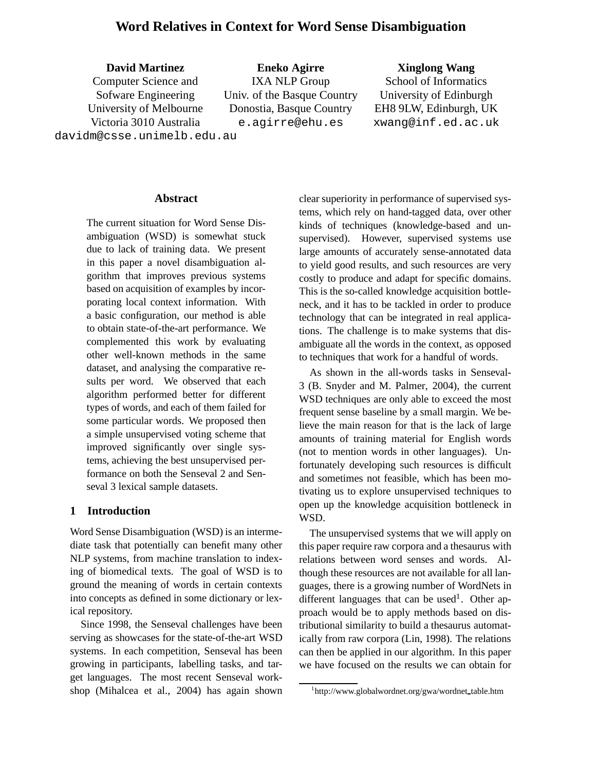# **Word Relatives in Context for Word Sense Disambiguation**

**David Martinez** Computer Science and Sofware Engineering University of Melbourne Victoria 3010 Australia davidm@csse.unimelb.edu.au

**Eneko Agirre** IXA NLP Group Univ. of the Basque Country Donostia, Basque Country e.agirre@ehu.es

### **Xinglong Wang**

School of Informatics University of Edinburgh EH8 9LW, Edinburgh, UK xwang@inf.ed.ac.uk

**Abstract**

The current situation for Word Sense Disambiguation (WSD) is somewhat stuck due to lack of training data. We present in this paper a novel disambiguation algorithm that improves previous systems based on acquisition of examples by incorporating local context information. With a basic configuration, our method is able to obtain state-of-the-art performance. We complemented this work by evaluating other well-known methods in the same dataset, and analysing the comparative results per word. We observed that each algorithm performed better for different types of words, and each of them failed for some particular words. We proposed then a simple unsupervised voting scheme that improved significantly over single systems, achieving the best unsupervised performance on both the Senseval 2 and Senseval 3 lexical sample datasets.

### **1 Introduction**

Word Sense Disambiguation (WSD) is an intermediate task that potentially can benefit many other NLP systems, from machine translation to indexing of biomedical texts. The goal of WSD is to ground the meaning of words in certain contexts into concepts as defined in some dictionary or lexical repository.

Since 1998, the Senseval challenges have been serving as showcases for the state-of-the-art WSD systems. In each competition, Senseval has been growing in participants, labelling tasks, and target languages. The most recent Senseval workshop (Mihalcea et al., 2004) has again shown clear superiority in performance of supervised systems, which rely on hand-tagged data, over other kinds of techniques (knowledge-based and unsupervised). However, supervised systems use large amounts of accurately sense-annotated data to yield good results, and such resources are very costly to produce and adapt for specific domains. This is the so-called knowledge acquisition bottleneck, and it has to be tackled in order to produce technology that can be integrated in real applications. The challenge is to make systems that disambiguate all the words in the context, as opposed to techniques that work for a handful of words.

As shown in the all-words tasks in Senseval-3 (B. Snyder and M. Palmer, 2004), the current WSD techniques are only able to exceed the most frequent sense baseline by a small margin. We believe the main reason for that is the lack of large amounts of training material for English words (not to mention words in other languages). Unfortunately developing such resources is difficult and sometimes not feasible, which has been motivating us to explore unsupervised techniques to open up the knowledge acquisition bottleneck in WSD.

The unsupervised systems that we will apply on this paper require raw corpora and a thesaurus with relations between word senses and words. Although these resources are not available for all languages, there is a growing number of WordNets in different languages that can be used<sup>1</sup>. Other approach would be to apply methods based on distributional similarity to build a thesaurus automatically from raw corpora (Lin, 1998). The relations can then be applied in our algorithm. In this paper we have focused on the results we can obtain for

<sup>&</sup>lt;sup>1</sup>http://www.globalwordnet.org/gwa/wordnet\_table.htm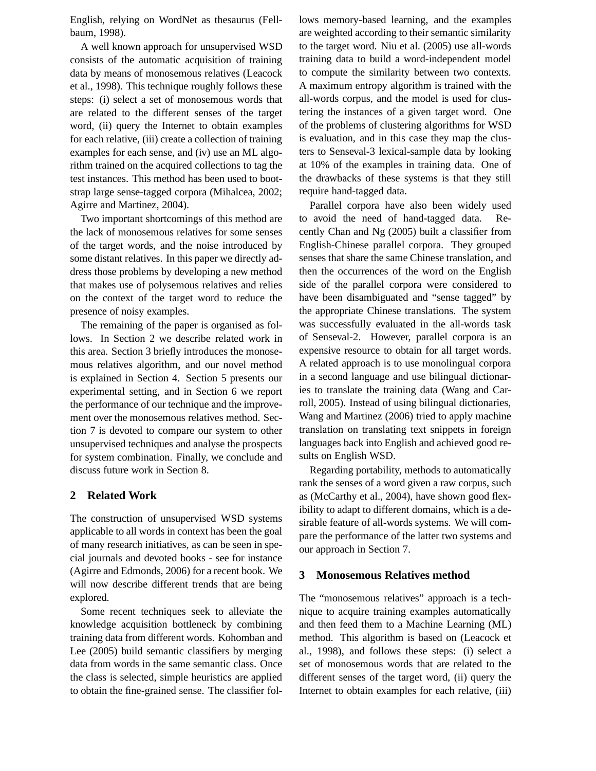English, relying on WordNet as thesaurus (Fellbaum, 1998).

A well known approach for unsupervised WSD consists of the automatic acquisition of training data by means of monosemous relatives (Leacock et al., 1998). This technique roughly follows these steps: (i) select a set of monosemous words that are related to the different senses of the target word, (ii) query the Internet to obtain examples for each relative, (iii) create a collection of training examples for each sense, and (iv) use an ML algorithm trained on the acquired collections to tag the test instances. This method has been used to bootstrap large sense-tagged corpora (Mihalcea, 2002; Agirre and Martinez, 2004).

Two important shortcomings of this method are the lack of monosemous relatives for some senses of the target words, and the noise introduced by some distant relatives. In this paper we directly address those problems by developing a new method that makes use of polysemous relatives and relies on the context of the target word to reduce the presence of noisy examples.

The remaining of the paper is organised as follows. In Section 2 we describe related work in this area. Section 3 briefly introduces the monosemous relatives algorithm, and our novel method is explained in Section 4. Section 5 presents our experimental setting, and in Section 6 we report the performance of our technique and the improvement over the monosemous relatives method. Section 7 is devoted to compare our system to other unsupervised techniques and analyse the prospects for system combination. Finally, we conclude and discuss future work in Section 8.

### **2 Related Work**

The construction of unsupervised WSD systems applicable to all words in context has been the goal of many research initiatives, as can be seen in special journals and devoted books - see for instance (Agirre and Edmonds, 2006) for a recent book. We will now describe different trends that are being explored.

Some recent techniques seek to alleviate the knowledge acquisition bottleneck by combining training data from different words. Kohomban and Lee (2005) build semantic classifiers by merging data from words in the same semantic class. Once the class is selected, simple heuristics are applied to obtain the fine-grained sense. The classifier follows memory-based learning, and the examples are weighted according to their semantic similarity to the target word. Niu et al. (2005) use all-words training data to build a word-independent model to compute the similarity between two contexts. A maximum entropy algorithm is trained with the all-words corpus, and the model is used for clustering the instances of a given target word. One of the problems of clustering algorithms for WSD is evaluation, and in this case they map the clusters to Senseval-3 lexical-sample data by looking at 10% of the examples in training data. One of the drawbacks of these systems is that they still require hand-tagged data.

Parallel corpora have also been widely used to avoid the need of hand-tagged data. Recently Chan and Ng (2005) built a classifier from English-Chinese parallel corpora. They grouped senses that share the same Chinese translation, and then the occurrences of the word on the English side of the parallel corpora were considered to have been disambiguated and "sense tagged" by the appropriate Chinese translations. The system was successfully evaluated in the all-words task of Senseval-2. However, parallel corpora is an expensive resource to obtain for all target words. A related approach is to use monolingual corpora in a second language and use bilingual dictionaries to translate the training data (Wang and Carroll, 2005). Instead of using bilingual dictionaries, Wang and Martinez (2006) tried to apply machine translation on translating text snippets in foreign languages back into English and achieved good results on English WSD.

Regarding portability, methods to automatically rank the senses of a word given a raw corpus, such as (McCarthy et al., 2004), have shown good flexibility to adapt to different domains, which is a desirable feature of all-words systems. We will compare the performance of the latter two systems and our approach in Section 7.

### **3 Monosemous Relatives method**

The "monosemous relatives" approach is a technique to acquire training examples automatically and then feed them to a Machine Learning (ML) method. This algorithm is based on (Leacock et al., 1998), and follows these steps: (i) select a set of monosemous words that are related to the different senses of the target word, (ii) query the Internet to obtain examples for each relative, (iii)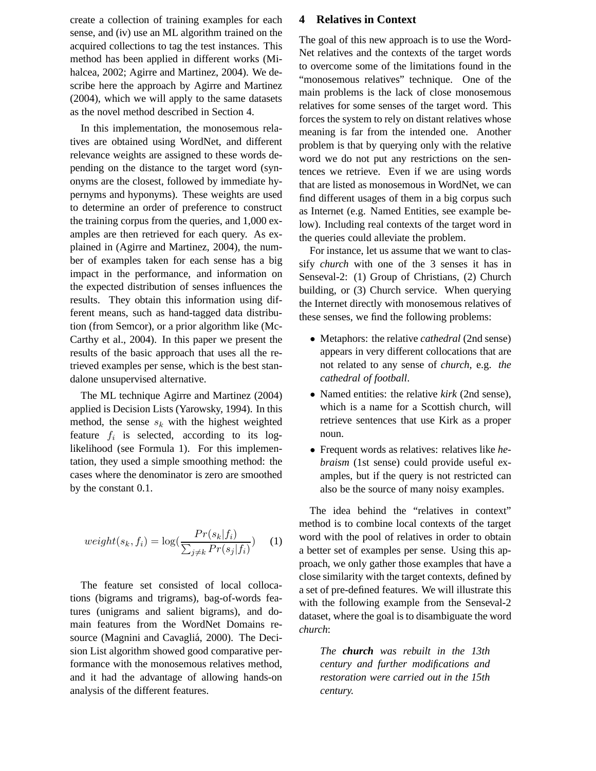create a collection of training examples for each sense, and (iv) use an ML algorithm trained on the acquired collections to tag the test instances. This method has been applied in different works (Mihalcea, 2002; Agirre and Martinez, 2004). We describe here the approach by Agirre and Martinez (2004), which we will apply to the same datasets as the novel method described in Section 4.

In this implementation, the monosemous relatives are obtained using WordNet, and different relevance weights are assigned to these words depending on the distance to the target word (synonyms are the closest, followed by immediate hypernyms and hyponyms). These weights are used to determine an order of preference to construct the training corpus from the queries, and 1,000 examples are then retrieved for each query. As explained in (Agirre and Martinez, 2004), the number of examples taken for each sense has a big impact in the performance, and information on the expected distribution of senses influences the results. They obtain this information using different means, such as hand-tagged data distribution (from Semcor), or a prior algorithm like (Mc-Carthy et al., 2004). In this paper we present the results of the basic approach that uses all the retrieved examples per sense, which is the best standalone unsupervised alternative.

The ML technique Agirre and Martinez (2004) applied is Decision Lists (Yarowsky, 1994). In this method, the sense  $s_k$  with the highest weighted feature  $f_i$  is selected, according to its loglikelihood (see Formula 1). For this implementation, they used a simple smoothing method: the cases where the denominator is zero are smoothed by the constant 0.1.

$$
weight(s_k, f_i) = \log(\frac{Pr(s_k|f_i)}{\sum_{j \neq k} Pr(s_j|f_i)})
$$
 (1)

The feature set consisted of local collocations (bigrams and trigrams), bag-of-words features (unigrams and salient bigrams), and domain features from the WordNet Domains resource (Magnini and Cavagliá, 2000). The Decision List algorithm showed good comparative performance with the monosemous relatives method, and it had the advantage of allowing hands-on analysis of the different features.

#### **4 Relatives in Context**

The goal of this new approach is to use the Word-Net relatives and the contexts of the target words to overcome some of the limitations found in the "monosemous relatives" technique. One of the main problems is the lack of close monosemous relatives for some senses of the target word. This forces the system to rely on distant relatives whose meaning is far from the intended one. Another problem is that by querying only with the relative word we do not put any restrictions on the sentences we retrieve. Even if we are using words that are listed as monosemous in WordNet, we can find different usages of them in a big corpus such as Internet (e.g. Named Entities, see example below). Including real contexts of the target word in the queries could alleviate the problem.

For instance, let us assume that we want to classify *church* with one of the 3 senses it has in Senseval-2: (1) Group of Christians, (2) Church building, or (3) Church service. When querying the Internet directly with monosemous relatives of these senses, we find the following problems:

- Metaphors: the relative *cathedral* (2nd sense) appears in very different collocations that are not related to any sense of *church*, e.g. *the cathedral of football*.
- Named entities: the relative *kirk* (2nd sense), which is a name for a Scottish church, will retrieve sentences that use Kirk as a proper noun.
- Frequent words as relatives: relatives like *hebraism* (1st sense) could provide useful examples, but if the query is not restricted can also be the source of many noisy examples.

The idea behind the "relatives in context" method is to combine local contexts of the target word with the pool of relatives in order to obtain a better set of examples per sense. Using this approach, we only gather those examples that have a close similarity with the target contexts, defined by a set of pre-defined features. We will illustrate this with the following example from the Senseval-2 dataset, where the goal is to disambiguate the word *church*:

*The church was rebuilt in the 13th century and further modifications and restoration were carried out in the 15th century.*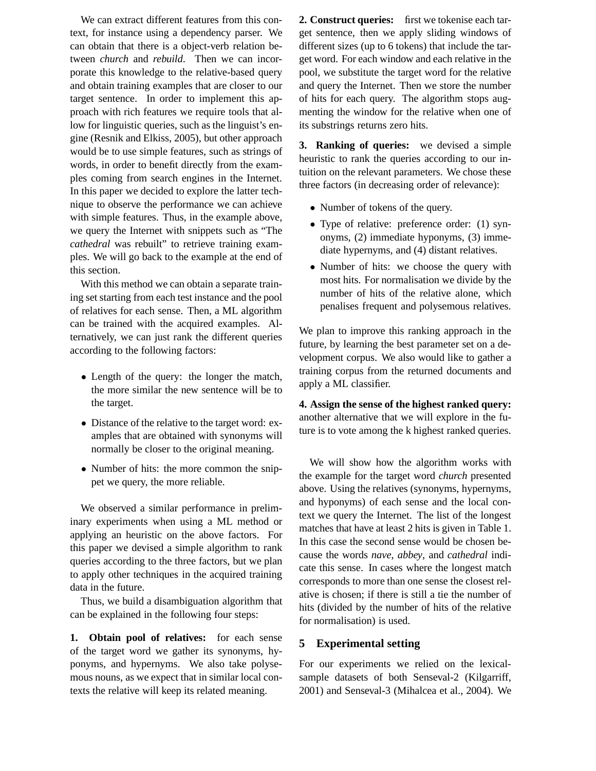We can extract different features from this context, for instance using a dependency parser. We can obtain that there is a object-verb relation between *church* and *rebuild*. Then we can incorporate this knowledge to the relative-based query and obtain training examples that are closer to our target sentence. In order to implement this approach with rich features we require tools that allow for linguistic queries, such as the linguist's engine (Resnik and Elkiss, 2005), but other approach would be to use simple features, such as strings of words, in order to benefit directly from the examples coming from search engines in the Internet. In this paper we decided to explore the latter technique to observe the performance we can achieve with simple features. Thus, in the example above, we query the Internet with snippets such as "The *cathedral* was rebuilt" to retrieve training examples. We will go back to the example at the end of this section.

With this method we can obtain a separate training set starting from each test instance and the pool of relatives for each sense. Then, a ML algorithm can be trained with the acquired examples. Alternatively, we can just rank the different queries according to the following factors:

- Length of the query: the longer the match, the more similar the new sentence will be to the target.
- Distance of the relative to the target word: examples that are obtained with synonyms will normally be closer to the original meaning.
- Number of hits: the more common the snippet we query, the more reliable.

We observed a similar performance in preliminary experiments when using a ML method or applying an heuristic on the above factors. For this paper we devised a simple algorithm to rank queries according to the three factors, but we plan to apply other techniques in the acquired training data in the future.

Thus, we build a disambiguation algorithm that can be explained in the following four steps:

**1. Obtain pool of relatives:** for each sense of the target word we gather its synonyms, hyponyms, and hypernyms. We also take polysemous nouns, as we expect that in similar local contexts the relative will keep its related meaning.

**2. Construct queries:** first we tokenise each target sentence, then we apply sliding windows of different sizes (up to 6 tokens) that include the target word. For each window and each relative in the pool, we substitute the target word for the relative and query the Internet. Then we store the number of hits for each query. The algorithm stops augmenting the window for the relative when one of its substrings returns zero hits.

**3. Ranking of queries:** we devised a simple heuristic to rank the queries according to our intuition on the relevant parameters. We chose these three factors (in decreasing order of relevance):

- Number of tokens of the query.
- Type of relative: preference order: (1) synonyms, (2) immediate hyponyms, (3) immediate hypernyms, and (4) distant relatives.
- Number of hits: we choose the query with most hits. For normalisation we divide by the number of hits of the relative alone, which penalises frequent and polysemous relatives.

We plan to improve this ranking approach in the future, by learning the best parameter set on a development corpus. We also would like to gather a training corpus from the returned documents and apply a ML classifier.

**4. Assign the sense of the highest ranked query:** another alternative that we will explore in the future is to vote among the k highest ranked queries.

We will show how the algorithm works with the example for the target word *church* presented above. Using the relatives (synonyms, hypernyms, and hyponyms) of each sense and the local context we query the Internet. The list of the longest matches that have at least 2 hits is given in Table 1. In this case the second sense would be chosen because the words *nave*, *abbey*, and *cathedral* indicate this sense. In cases where the longest match corresponds to more than one sense the closest relative is chosen; if there is still a tie the number of hits (divided by the number of hits of the relative for normalisation) is used.

## **5 Experimental setting**

For our experiments we relied on the lexicalsample datasets of both Senseval-2 (Kilgarriff, 2001) and Senseval-3 (Mihalcea et al., 2004). We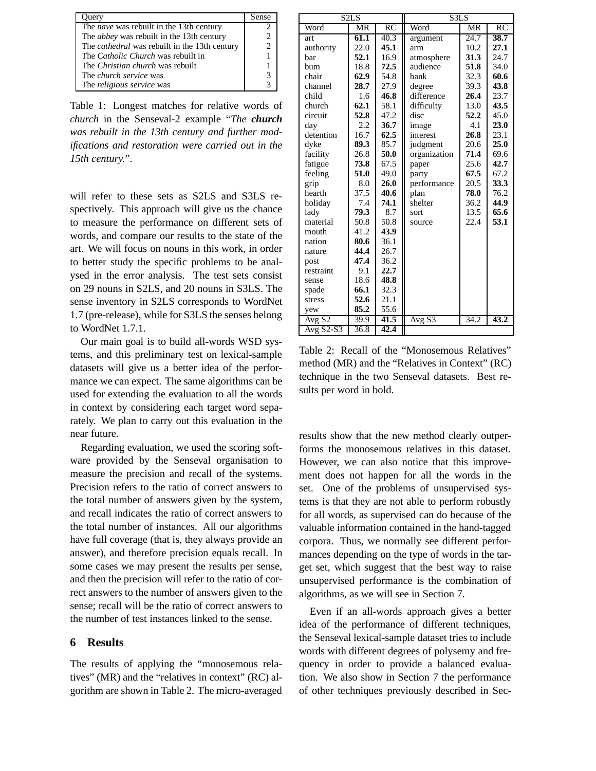| Query                                                | Sense                       |
|------------------------------------------------------|-----------------------------|
| The <i>nave</i> was rebuilt in the 13th century      |                             |
| The <i>abbey</i> was rebuilt in the 13th century     | $\mathcal{D}_{\mathcal{L}}$ |
| The <i>cathedral</i> was rebuilt in the 13th century | $\mathcal{D}$               |
| The <i>Catholic Church</i> was rebuilt in            |                             |
| The <i>Christian church</i> was rebuilt              |                             |
| The <i>church service</i> was                        |                             |
| The <i>religious service</i> was                     |                             |

Table 1: Longest matches for relative words of *church* in the Senseval-2 example "*The church was rebuilt in the 13th century and further modifications and restoration were carried out in the 15th century.*".

will refer to these sets as S2LS and S3LS respectively. This approach will give us the chance to measure the performance on different sets of words, and compare our results to the state of the art. We will focus on nouns in this work, in order to better study the specific problems to be analysed in the error analysis. The test sets consist on 29 nouns in S2LS, and 20 nouns in S3LS. The sense inventory in S2LS corresponds to WordNet 1.7 (pre-release), while for S3LS the senses belong to WordNet 1.7.1.

Our main goal is to build all-words WSD systems, and this preliminary test on lexical-sample datasets will give us a better idea of the performance we can expect. The same algorithms can be used for extending the evaluation to all the words in context by considering each target word separately. We plan to carry out this evaluation in the near future.

Regarding evaluation, we used the scoring software provided by the Senseval organisation to measure the precision and recall of the systems. Precision refers to the ratio of correct answers to the total number of answers given by the system, and recall indicates the ratio of correct answers to the total number of instances. All our algorithms have full coverage (that is, they always provide an answer), and therefore precision equals recall. In some cases we may present the results per sense, and then the precision will refer to the ratio of correct answers to the number of answers given to the sense; recall will be the ratio of correct answers to the number of test instances linked to the sense.

### **6 Results**

The results of applying the "monosemous relatives" (MR) and the "relatives in context" (RC) algorithm are shown in Table 2. The micro-averaged

|                    | S <sub>2</sub> L <sub>S</sub> |      | S3LS         |      |      |  |
|--------------------|-------------------------------|------|--------------|------|------|--|
| Word               | MR                            | RC   | Word         | MR   | RC   |  |
| art                | 61.1                          | 40.3 | argument     | 24.7 | 38.7 |  |
| authority          | 22.0                          | 45.1 | arm          | 10.2 | 27.1 |  |
| bar                | 52.1                          | 16.9 | atmosphere   | 31.3 | 24.7 |  |
| bum                | 18.8                          | 72.5 | audience     | 51.8 | 34.0 |  |
| chair              | 62.9                          | 54.8 | bank         | 32.3 | 60.6 |  |
| channel            | 28.7                          | 27.9 | degree       | 39.3 | 43.8 |  |
| child              | 1.6                           | 46.8 | difference   | 26.4 | 23.7 |  |
| church             | 62.1                          | 58.1 | difficulty   | 13.0 | 43.5 |  |
| circuit            | 52.8                          | 47.2 | disc         | 52.2 | 45.0 |  |
| day                | 2.2                           | 36.7 | image        | 4.1  | 23.0 |  |
| detention          | 16.7                          | 62.5 | interest     | 26.8 | 23.1 |  |
| dyke               | 89.3                          | 85.7 | judgment     | 20.6 | 25.0 |  |
| facility           | 26.8                          | 50.0 | organization | 71.4 | 69.6 |  |
| fatigue            | 73.8                          | 67.5 | paper        | 25.6 | 42.7 |  |
| feeling            | 51.0                          | 49.0 | party        | 67.5 | 67.2 |  |
| grip               | 8.0                           | 26.0 | performance  | 20.5 | 33.3 |  |
| hearth             | 37.5                          | 40.6 | plan         | 78.0 | 76.2 |  |
| holiday            | 7.4                           | 74.1 | shelter      | 36.2 | 44.9 |  |
| lady               | 79.3                          | 8.7  | sort         | 13.5 | 65.6 |  |
| material           | 50.8                          | 50.8 | source       | 22.4 | 53.1 |  |
| mouth              | 41.2                          | 43.9 |              |      |      |  |
| nation             | 80.6                          | 36.1 |              |      |      |  |
| nature             | 44.4                          | 26.7 |              |      |      |  |
| post               | 47.4                          | 36.2 |              |      |      |  |
| restraint          | 9.1                           | 22.7 |              |      |      |  |
| sense              | 18.6                          | 48.8 |              |      |      |  |
| spade              | 66.1                          | 32.3 |              |      |      |  |
| stress             | 52.6                          | 21.1 |              |      |      |  |
| yew                | 85.2                          | 55.6 |              |      |      |  |
| Avg S <sub>2</sub> | 39.9                          | 41.5 | Avg S3       | 34.2 | 43.2 |  |
| $AvgS2-S3$         | 36.8                          | 42.4 |              |      |      |  |

Table 2: Recall of the "Monosemous Relatives" method (MR) and the "Relatives in Context" (RC) technique in the two Senseval datasets. Best results per word in bold.

results show that the new method clearly outperforms the monosemous relatives in this dataset. However, we can also notice that this improvement does not happen for all the words in the set. One of the problems of unsupervised systems is that they are not able to perform robustly for all words, as supervised can do because of the valuable information contained in the hand-tagged corpora. Thus, we normally see different performances depending on the type of words in the target set, which suggest that the best way to raise unsupervised performance is the combination of algorithms, as we will see in Section 7.

Even if an all-words approach gives a better idea of the performance of different techniques, the Senseval lexical-sample dataset tries to include words with different degrees of polysemy and frequency in order to provide a balanced evaluation. We also show in Section 7 the performance of other techniques previously described in Sec-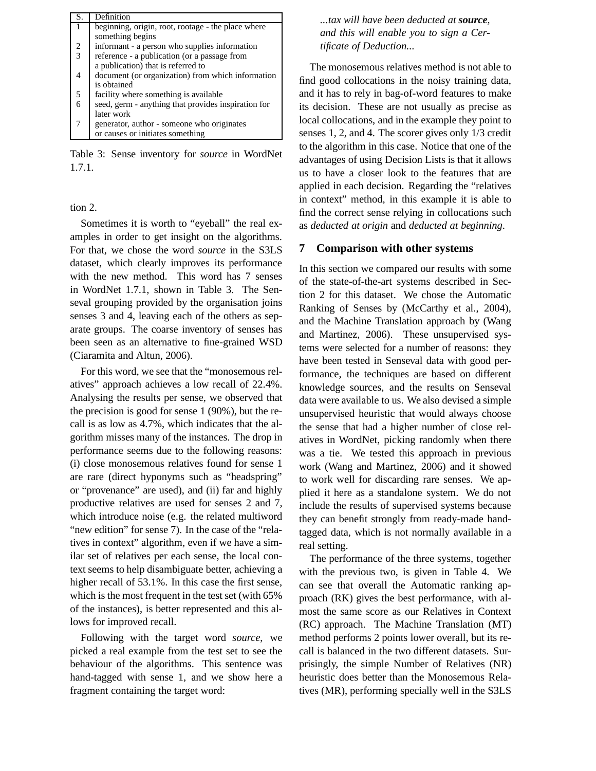| S.             | Definition                                          |
|----------------|-----------------------------------------------------|
|                | beginning, origin, root, rootage - the place where  |
|                | something begins                                    |
| 2              | informant - a person who supplies information       |
| $\overline{3}$ | reference - a publication (or a passage from        |
|                | a publication) that is referred to                  |
| 4              | document (or organization) from which information   |
|                | is obtained                                         |
| 5              | facility where something is available.              |
| 6              | seed, germ - anything that provides inspiration for |
|                | later work                                          |
|                | generator, author - someone who originates          |
|                | or causes or initiates something                    |

Table 3: Sense inventory for *source* in WordNet 1.7.1.

tion 2.

Sometimes it is worth to "eyeball" the real examples in order to get insight on the algorithms. For that, we chose the word *source* in the S3LS dataset, which clearly improves its performance with the new method. This word has 7 senses in WordNet 1.7.1, shown in Table 3. The Senseval grouping provided by the organisation joins senses 3 and 4, leaving each of the others as separate groups. The coarse inventory of senses has been seen as an alternative to fine-grained WSD (Ciaramita and Altun, 2006).

For this word, we see that the "monosemous relatives" approach achieves a low recall of 22.4%. Analysing the results per sense, we observed that the precision is good for sense 1 (90%), but the recall is as low as 4.7%, which indicates that the algorithm misses many of the instances. The drop in performance seems due to the following reasons: (i) close monosemous relatives found for sense 1 are rare (direct hyponyms such as "headspring" or "provenance" are used), and (ii) far and highly productive relatives are used for senses 2 and 7, which introduce noise (e.g. the related multiword "new edition" for sense 7). In the case of the "relatives in context" algorithm, even if we have a similar set of relatives per each sense, the local context seems to help disambiguate better, achieving a higher recall of 53.1%. In this case the first sense, which is the most frequent in the test set (with 65% of the instances), is better represented and this allows for improved recall.

Following with the target word *source*, we picked a real example from the test set to see the behaviour of the algorithms. This sentence was hand-tagged with sense 1, and we show here a fragment containing the target word:

*...tax will have been deducted at source, and this will enable you to sign a Certificate of Deduction...*

The monosemous relatives method is not able to find good collocations in the noisy training data, and it has to rely in bag-of-word features to make its decision. These are not usually as precise as local collocations, and in the example they point to senses 1, 2, and 4. The scorer gives only 1/3 credit to the algorithm in this case. Notice that one of the advantages of using Decision Lists is that it allows us to have a closer look to the features that are applied in each decision. Regarding the "relatives in context" method, in this example it is able to find the correct sense relying in collocations such as *deducted at origin* and *deducted at beginning*.

### **7 Comparison with other systems**

In this section we compared our results with some of the state-of-the-art systems described in Section 2 for this dataset. We chose the Automatic Ranking of Senses by (McCarthy et al., 2004), and the Machine Translation approach by (Wang and Martinez, 2006). These unsupervised systems were selected for a number of reasons: they have been tested in Senseval data with good performance, the techniques are based on different knowledge sources, and the results on Senseval data were available to us. We also devised a simple unsupervised heuristic that would always choose the sense that had a higher number of close relatives in WordNet, picking randomly when there was a tie. We tested this approach in previous work (Wang and Martinez, 2006) and it showed to work well for discarding rare senses. We applied it here as a standalone system. We do not include the results of supervised systems because they can benefit strongly from ready-made handtagged data, which is not normally available in a real setting.

The performance of the three systems, together with the previous two, is given in Table 4. We can see that overall the Automatic ranking approach (RK) gives the best performance, with almost the same score as our Relatives in Context (RC) approach. The Machine Translation (MT) method performs 2 points lower overall, but its recall is balanced in the two different datasets. Surprisingly, the simple Number of Relatives (NR) heuristic does better than the Monosemous Relatives (MR), performing specially well in the S3LS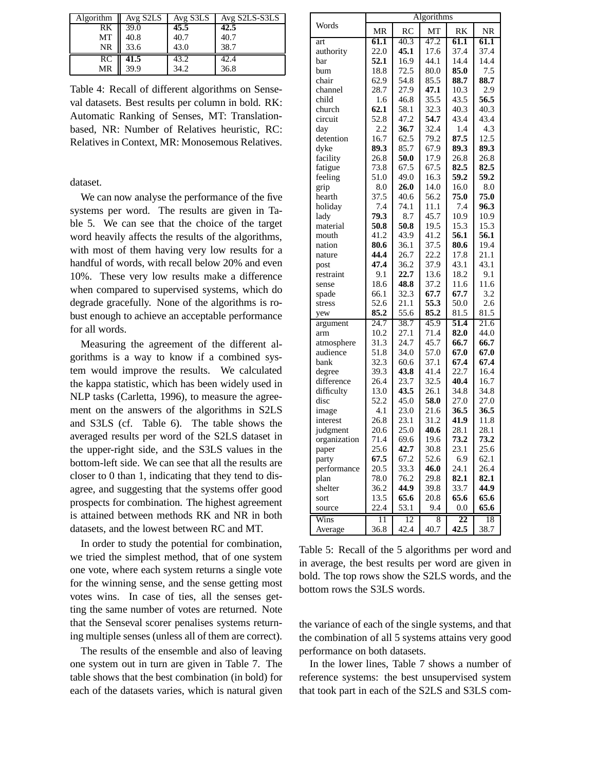| <b>Algorithm</b> | Avg S2LS | Avg S3LS | Avg S2LS-S3LS |
|------------------|----------|----------|---------------|
| RK               | 39.0     | 45.5     | 42.5          |
| MT               | 40.8     | 40.7     | 40.7          |
| NR               | 33.6     | 43.0     | 38.7          |
| RC               | 41.5     | 43.2     | 42.4          |
| MR               | 39.9     | 34.2     | 36.8          |

Table 4: Recall of different algorithms on Senseval datasets. Best results per column in bold. RK: Automatic Ranking of Senses, MT: Translationbased, NR: Number of Relatives heuristic, RC: Relatives in Context, MR: Monosemous Relatives.

dataset.

We can now analyse the performance of the five systems per word. The results are given in Table 5. We can see that the choice of the target word heavily affects the results of the algorithms, with most of them having very low results for a handful of words, with recall below 20% and even 10%. These very low results make a difference when compared to supervised systems, which do degrade gracefully. None of the algorithms is robust enough to achieve an acceptable performance for all words.

Measuring the agreement of the different algorithms is a way to know if a combined system would improve the results. We calculated the kappa statistic, which has been widely used in NLP tasks (Carletta, 1996), to measure the agreement on the answers of the algorithms in S2LS and S3LS (cf. Table 6). The table shows the averaged results per word of the S2LS dataset in the upper-right side, and the S3LS values in the bottom-left side. We can see that all the results are closer to 0 than 1, indicating that they tend to disagree, and suggesting that the systems offer good prospects for combination. The highest agreement is attained between methods RK and NR in both datasets, and the lowest between RC and MT.

In order to study the potential for combination, we tried the simplest method, that of one system one vote, where each system returns a single vote for the winning sense, and the sense getting most votes wins. In case of ties, all the senses getting the same number of votes are returned. Note that the Senseval scorer penalises systems returning multiple senses (unless all of them are correct).

The results of the ensemble and also of leaving one system out in turn are given in Table 7. The table shows that the best combination (in bold) for each of the datasets varies, which is natural given

|              | Algorithms |      |      |      |           |  |
|--------------|------------|------|------|------|-----------|--|
| Words        | <b>MR</b>  | RC   | MT   | RK   | <b>NR</b> |  |
| art          | 61.1       | 40.3 | 47.2 | 61.1 | 61.1      |  |
| authority    | 22.0       | 45.1 | 17.6 | 37.4 | 37.4      |  |
| bar          | 52.1       | 16.9 | 44.1 | 14.4 | 14.4      |  |
| bum          | 18.8       | 72.5 | 80.0 | 85.0 | 7.5       |  |
| chair        | 62.9       | 54.8 | 85.5 | 88.7 | 88.7      |  |
| channel      | 28.7       | 27.9 | 47.1 | 10.3 | 2.9       |  |
| child        | 1.6        | 46.8 | 35.5 | 43.5 | 56.5      |  |
| church       | 62.1       | 58.1 | 32.3 | 40.3 | 40.3      |  |
| circuit      | 52.8       | 47.2 | 54.7 | 43.4 | 43.4      |  |
| day          | 2.2        | 36.7 | 32.4 | 1.4  | 4.3       |  |
| detention    | 16.7       | 62.5 | 79.2 | 87.5 | 12.5      |  |
| dyke         | 89.3       | 85.7 | 67.9 | 89.3 | 89.3      |  |
| facility     | 26.8       | 50.0 | 17.9 | 26.8 | 26.8      |  |
| fatigue      | 73.8       | 67.5 | 67.5 | 82.5 | 82.5      |  |
| feeling      | 51.0       | 49.0 | 16.3 | 59.2 | 59.2      |  |
| grip         | 8.0        | 26.0 | 14.0 | 16.0 | 8.0       |  |
| hearth       | 37.5       | 40.6 | 56.2 | 75.0 | 75.0      |  |
| holiday      | 7.4        | 74.1 | 11.1 | 7.4  | 96.3      |  |
| lady         | 79.3       | 8.7  | 45.7 | 10.9 | 10.9      |  |
| material     | 50.8       | 50.8 | 19.5 | 15.3 | 15.3      |  |
| mouth        | 41.2       | 43.9 | 41.2 | 56.1 | 56.1      |  |
| nation       | 80.6       | 36.1 | 37.5 | 80.6 | 19.4      |  |
| nature       | 44.4       | 26.7 | 22.2 | 17.8 | 21.1      |  |
| post         | 47.4       | 36.2 | 37.9 | 43.1 | 43.1      |  |
| restraint    | 9.1        | 22.7 | 13.6 | 18.2 | 9.1       |  |
| sense        | 18.6       | 48.8 | 37.2 | 11.6 | 11.6      |  |
| spade        | 66.1       | 32.3 | 67.7 | 67.7 | 3.2       |  |
| stress       | 52.6       | 21.1 | 55.3 | 50.0 | 2.6       |  |
| yew          | 85.2       | 55.6 | 85.2 | 81.5 | 81.5      |  |
| argument     | 24.7       | 38.7 | 45.9 | 51.4 | 21.6      |  |
| arm          | 10.2       | 27.1 | 71.4 | 82.0 | 44.0      |  |
| atmosphere   | 31.3       | 24.7 | 45.7 | 66.7 | 66.7      |  |
| audience     | 51.8       | 34.0 | 57.0 | 67.0 | 67.0      |  |
| bank         | 32.3       | 60.6 | 37.1 | 67.4 | 67.4      |  |
| degree       | 39.3       | 43.8 | 41.4 | 22.7 | 16.4      |  |
| difference   | 26.4       | 23.7 | 32.5 | 40.4 | 16.7      |  |
| difficulty   | 13.0       | 43.5 | 26.1 | 34.8 | 34.8      |  |
| disc         | 52.2       | 45.0 | 58.0 | 27.0 | 27.0      |  |
| image        | 4.1        | 23.0 | 21.6 | 36.5 | 36.5      |  |
| interest     | 26.8       | 23.1 | 31.2 | 41.9 | 11.8      |  |
| judgment     | 20.6       | 25.0 | 40.6 | 28.1 | 28.1      |  |
| organization | 71.4       | 69.6 | 19.6 | 73.2 | 73.2      |  |
| paper        | 25.6       | 42.7 | 30.8 | 23.1 | 25.6      |  |
| party        | 67.5       | 67.2 | 52.6 | 6.9  | 62.1      |  |
| performance  | 20.5       | 33.3 | 46.0 | 24.1 | 26.4      |  |
| plan         | 78.0       | 76.2 | 29.8 | 82.1 | 82.1      |  |
| shelter      | 36.2       | 44.9 | 39.8 | 33.7 | 44.9      |  |
| sort         | 13.5       | 65.6 | 20.8 | 65.6 | 65.6      |  |
| source       | 22.4       | 53.1 | 9.4  | 0.0  | 65.6      |  |
| Wins         | 11         | 12   | 8    | 22   | 18        |  |
| Average      | 36.8       | 42.4 | 40.7 | 42.5 | 38.7      |  |

Table 5: Recall of the 5 algorithms per word and in average, the best results per word are given in bold. The top rows show the S2LS words, and the bottom rows the S3LS words.

the variance of each of the single systems, and that the combination of all 5 systems attains very good performance on both datasets.

In the lower lines, Table 7 shows a number of reference systems: the best unsupervised system that took part in each of the S2LS and S3LS com-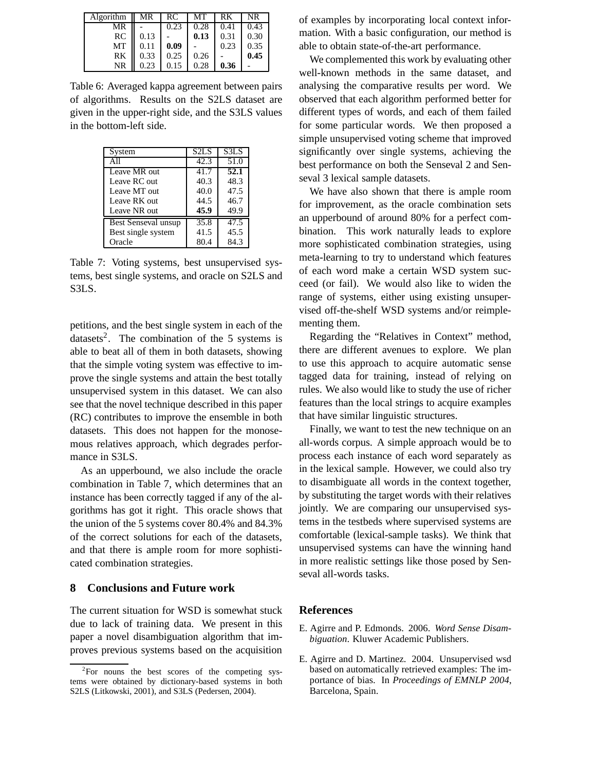| Algorithm | MR   | RC   | MТ   | RK   | NR   |
|-----------|------|------|------|------|------|
| MR        |      | 0.23 | 0.28 | 0.41 | 0.43 |
| RC        | 0.13 |      | 0.13 | 0.31 | 0.30 |
| МT        | 0.11 | 0.09 |      | 0.23 | 0.35 |
| RK        | 0.33 | 0.25 | 0.26 |      | 0.45 |
| <b>NR</b> |      |      | 0.28 | 0.36 |      |

Table 6: Averaged kappa agreement between pairs of algorithms. Results on the S2LS dataset are given in the upper-right side, and the S3LS values in the bottom-left side.

| System                     | S2LS | S3LS |
|----------------------------|------|------|
| All                        | 42.3 | 51.0 |
| Leave MR out               | 41.7 | 52.1 |
| Leave RC out               | 40.3 | 48.3 |
| Leave MT out               | 40.0 | 47.5 |
| Leave RK out               | 44.5 | 46.7 |
| Leave NR out               | 45.9 | 49.9 |
| <b>Best Senseval unsup</b> | 35.8 | 47.5 |
| Best single system         | 41.5 | 45.5 |
| Oracle                     | 80.4 | 84.3 |

Table 7: Voting systems, best unsupervised systems, best single systems, and oracle on S2LS and S3LS.

petitions, and the best single system in each of the datasets<sup>2</sup>. The combination of the 5 systems is able to beat all of them in both datasets, showing that the simple voting system was effective to improve the single systems and attain the best totally unsupervised system in this dataset. We can also see that the novel technique described in this paper (RC) contributes to improve the ensemble in both datasets. This does not happen for the monosemous relatives approach, which degrades performance in S3LS.

As an upperbound, we also include the oracle combination in Table 7, which determines that an instance has been correctly tagged if any of the algorithms has got it right. This oracle shows that the union of the 5 systems cover 80.4% and 84.3% of the correct solutions for each of the datasets, and that there is ample room for more sophisticated combination strategies.

### **8 Conclusions and Future work**

The current situation for WSD is somewhat stuck due to lack of training data. We present in this paper a novel disambiguation algorithm that improves previous systems based on the acquisition of examples by incorporating local context information. With a basic configuration, our method is able to obtain state-of-the-art performance.

We complemented this work by evaluating other well-known methods in the same dataset, and analysing the comparative results per word. We observed that each algorithm performed better for different types of words, and each of them failed for some particular words. We then proposed a simple unsupervised voting scheme that improved significantly over single systems, achieving the best performance on both the Senseval 2 and Senseval 3 lexical sample datasets.

We have also shown that there is ample room for improvement, as the oracle combination sets an upperbound of around 80% for a perfect combination. This work naturally leads to explore more sophisticated combination strategies, using meta-learning to try to understand which features of each word make a certain WSD system succeed (or fail). We would also like to widen the range of systems, either using existing unsupervised off-the-shelf WSD systems and/or reimplementing them.

Regarding the "Relatives in Context" method, there are different avenues to explore. We plan to use this approach to acquire automatic sense tagged data for training, instead of relying on rules. We also would like to study the use of richer features than the local strings to acquire examples that have similar linguistic structures.

Finally, we want to test the new technique on an all-words corpus. A simple approach would be to process each instance of each word separately as in the lexical sample. However, we could also try to disambiguate all words in the context together, by substituting the target words with their relatives jointly. We are comparing our unsupervised systems in the testbeds where supervised systems are comfortable (lexical-sample tasks). We think that unsupervised systems can have the winning hand in more realistic settings like those posed by Senseval all-words tasks.

#### **References**

- E. Agirre and P. Edmonds. 2006. *Word Sense Disambiguation*. Kluwer Academic Publishers.
- E. Agirre and D. Martinez. 2004. Unsupervised wsd based on automatically retrieved examples: The importance of bias. In *Proceedings of EMNLP 2004*, Barcelona, Spain.

<sup>&</sup>lt;sup>2</sup>For nouns the best scores of the competing systems were obtained by dictionary-based systems in both S2LS (Litkowski, 2001), and S3LS (Pedersen, 2004).